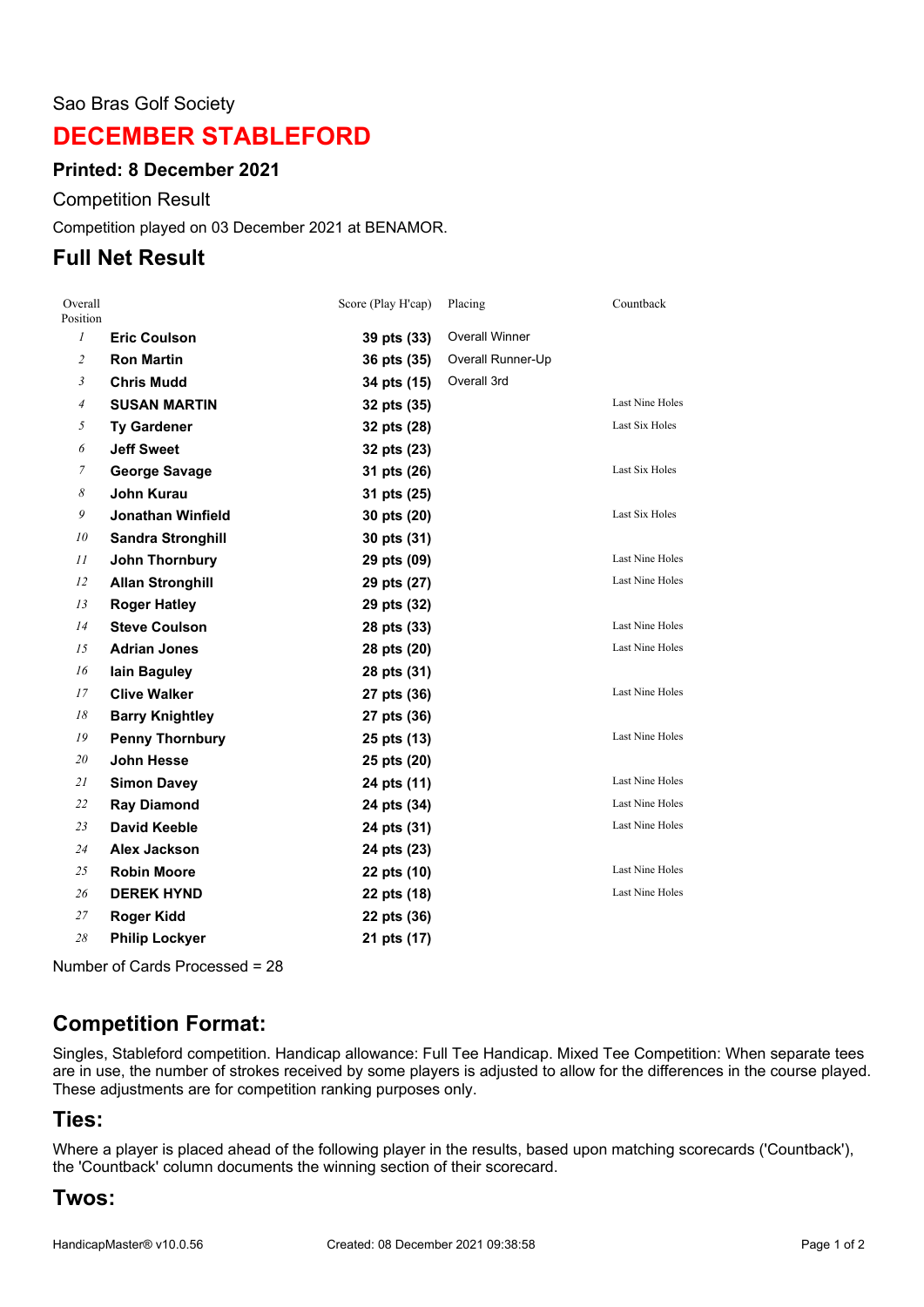#### Sao Bras Golf Society

# **DECEMBER STABLEFORD**

### **Printed: 8 December 2021**

Competition Result

Competition played on 03 December 2021 at BENAMOR.

## **Full Net Result**

| Overall<br>Position |                          | Score (Play H'cap) | Placing               | Countback              |
|---------------------|--------------------------|--------------------|-----------------------|------------------------|
| $\mathcal{I}$       | <b>Eric Coulson</b>      | 39 pts (33)        | <b>Overall Winner</b> |                        |
| $\overline{c}$      | <b>Ron Martin</b>        | 36 pts (35)        | Overall Runner-Up     |                        |
| $\mathfrak{Z}$      | <b>Chris Mudd</b>        | 34 pts (15)        | Overall 3rd           |                        |
| $\overline{4}$      | <b>SUSAN MARTIN</b>      | 32 pts (35)        |                       | <b>Last Nine Holes</b> |
| 5                   | <b>Ty Gardener</b>       | 32 pts (28)        |                       | Last Six Holes         |
| 6                   | <b>Jeff Sweet</b>        | 32 pts (23)        |                       |                        |
| $\overline{7}$      | <b>George Savage</b>     | 31 pts (26)        |                       | Last Six Holes         |
| 8                   | John Kurau               | 31 pts (25)        |                       |                        |
| 9                   | <b>Jonathan Winfield</b> | 30 pts (20)        |                       | Last Six Holes         |
| 10                  | <b>Sandra Stronghill</b> | 30 pts (31)        |                       |                        |
| 11                  | <b>John Thornbury</b>    | 29 pts (09)        |                       | Last Nine Holes        |
| 12                  | <b>Allan Stronghill</b>  | 29 pts (27)        |                       | <b>Last Nine Holes</b> |
| 13                  | <b>Roger Hatley</b>      | 29 pts (32)        |                       |                        |
| 14                  | <b>Steve Coulson</b>     | 28 pts (33)        |                       | Last Nine Holes        |
| 15                  | <b>Adrian Jones</b>      | 28 pts (20)        |                       | Last Nine Holes        |
| 16                  | lain Baguley             | 28 pts (31)        |                       |                        |
| 17                  | <b>Clive Walker</b>      | 27 pts (36)        |                       | <b>Last Nine Holes</b> |
| 18                  | <b>Barry Knightley</b>   | 27 pts (36)        |                       |                        |
| 19                  | <b>Penny Thornbury</b>   | 25 pts (13)        |                       | Last Nine Holes        |
| 20                  | <b>John Hesse</b>        | 25 pts (20)        |                       |                        |
| 21                  | <b>Simon Davey</b>       | 24 pts (11)        |                       | <b>Last Nine Holes</b> |
| 22                  | <b>Ray Diamond</b>       | 24 pts (34)        |                       | Last Nine Holes        |
| 23                  | <b>David Keeble</b>      | 24 pts (31)        |                       | Last Nine Holes        |
| 24                  | <b>Alex Jackson</b>      | 24 pts (23)        |                       |                        |
| 25                  | <b>Robin Moore</b>       | 22 pts (10)        |                       | <b>Last Nine Holes</b> |
| 26                  | <b>DEREK HYND</b>        | 22 pts (18)        |                       | Last Nine Holes        |
| 27                  | Roger Kidd               | 22 pts (36)        |                       |                        |
| 28                  | <b>Philip Lockyer</b>    | 21 pts (17)        |                       |                        |

Number of Cards Processed = 28

# **Competition Format:**

Singles, Stableford competition. Handicap allowance: Full Tee Handicap. Mixed Tee Competition: When separate tees are in use, the number of strokes received by some players is adjusted to allow for the differences in the course played. These adjustments are for competition ranking purposes only.

## **Ties:**

Where a player is placed ahead of the following player in the results, based upon matching scorecards ('Countback'), the 'Countback' column documents the winning section of their scorecard.

## **Twos:**